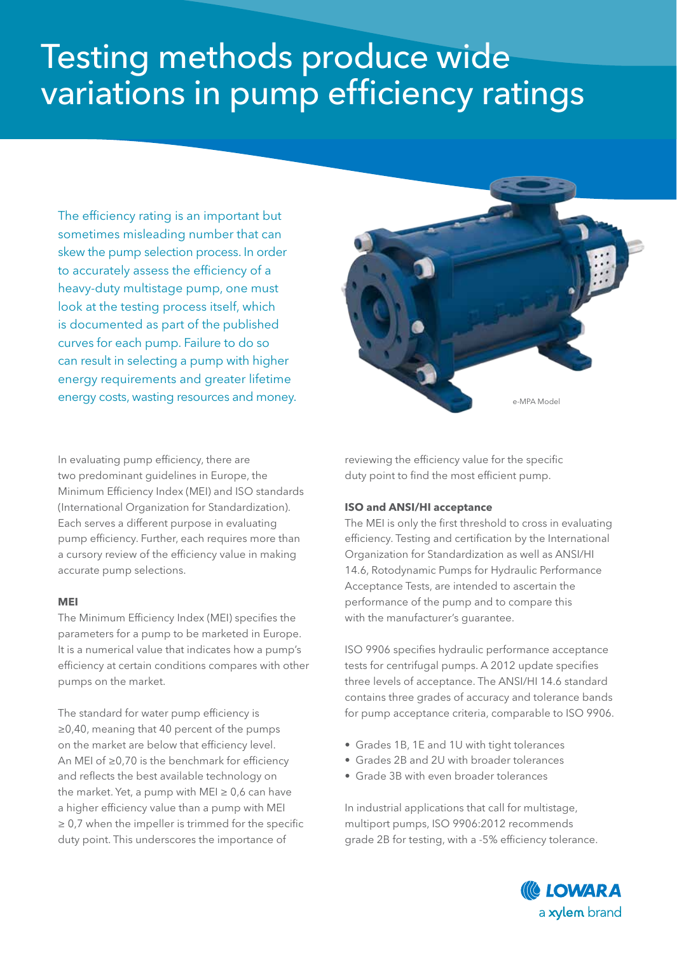## Testing methods produce wide variations in pump efficiency ratings

The efficiency rating is an important but sometimes misleading number that can skew the pump selection process. In order to accurately assess the efficiency of a heavy-duty multistage pump, one must look at the testing process itself, which is documented as part of the published curves for each pump. Failure to do so can result in selecting a pump with higher energy requirements and greater lifetime energy costs, wasting resources and money.

In evaluating pump efficiency, there are two predominant guidelines in Europe, the Minimum Efficiency Index (MEI) and ISO standards (International Organization for Standardization). Each serves a different purpose in evaluating pump efficiency. Further, each requires more than a cursory review of the efficiency value in making accurate pump selections.

## **MEI**

The Minimum Efficiency Index (MEI) specifies the parameters for a pump to be marketed in Europe. It is a numerical value that indicates how a pump's efficiency at certain conditions compares with other pumps on the market.

The standard for water pump efficiency is ≥0,40, meaning that 40 percent of the pumps on the market are below that efficiency level. An MEI of ≥0,70 is the benchmark for efficiency and reflects the best available technology on the market. Yet, a pump with MEI  $\geq 0,6$  can have a higher efficiency value than a pump with MEI  $\geq 0.7$  when the impeller is trimmed for the specific duty point. This underscores the importance of

reviewing the efficiency value for the specific duty point to find the most efficient pump.

## **ISO and ANSI/HI acceptance**

The MEI is only the first threshold to cross in evaluating efficiency. Testing and certification by the International Organization for Standardization as well as ANSI/HI 14.6, Rotodynamic Pumps for Hydraulic Performance Acceptance Tests, are intended to ascertain the performance of the pump and to compare this with the manufacturer's guarantee.

ISO 9906 specifies hydraulic performance acceptance tests for centrifugal pumps. A 2012 update specifies three levels of acceptance. The ANSI/HI 14.6 standard contains three grades of accuracy and tolerance bands for pump acceptance criteria, comparable to ISO 9906.

- Grades 1B, 1E and 1U with tight tolerances
- Grades 2B and 2U with broader tolerances
- Grade 3B with even broader tolerances

In industrial applications that call for multistage, multiport pumps, ISO 9906:2012 recommends grade 2B for testing, with a -5% efficiency tolerance.